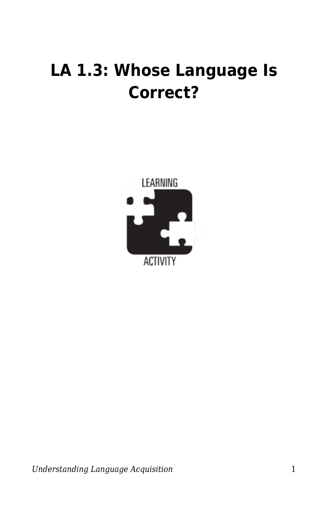## **LA 1.3: Whose Language Is Correct?**



*Understanding Language Acquisition* 1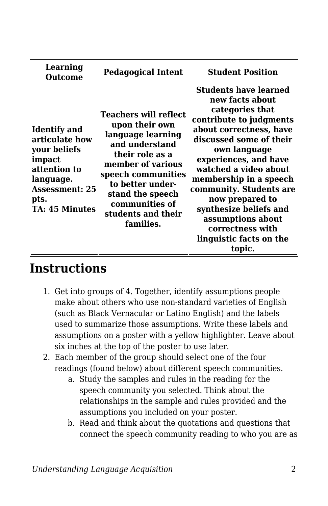| Learning<br>Outcome                                                                                                                                    | <b>Pedagogical Intent</b>                                                                                                                                                                                                                 | <b>Student Position</b>                                                                                                                                                                                                                                                                                                                                                                               |
|--------------------------------------------------------------------------------------------------------------------------------------------------------|-------------------------------------------------------------------------------------------------------------------------------------------------------------------------------------------------------------------------------------------|-------------------------------------------------------------------------------------------------------------------------------------------------------------------------------------------------------------------------------------------------------------------------------------------------------------------------------------------------------------------------------------------------------|
| <b>Identify</b> and<br>articulate how<br>your beliefs<br>impact<br>attention to<br>language.<br><b>Assessment: 25</b><br>pts.<br><b>TA: 45 Minutes</b> | Teachers will reflect<br>upon their own<br>language learning<br>and understand<br>their role as a<br>member of various<br>speech communities<br>to better under-<br>stand the speech<br>communities of<br>students and their<br>families. | <b>Students have learned</b><br>new facts about<br>categories that<br>contribute to judgments<br>about correctness, have<br>discussed some of their<br>own language<br>experiences, and have<br>watched a video about<br>membership in a speech<br>community. Students are<br>now prepared to<br>synthesize beliefs and<br>assumptions about<br>correctness with<br>linguistic facts on the<br>topic. |

## **Instructions**

- 1. Get into groups of 4. Together, identify assumptions people make about others who use non-standard varieties of English (such as Black Vernacular or Latino English) and the labels used to summarize those assumptions. Write these labels and assumptions on a poster with a yellow highlighter. Leave about six inches at the top of the poster to use later.
- 2. Each member of the group should select one of the four readings (found below) about different speech communities.
	- a. Study the samples and rules in the reading for the speech community you selected. Think about the relationships in the sample and rules provided and the assumptions you included on your poster.
	- b. Read and think about the quotations and questions that connect the speech community reading to who you are as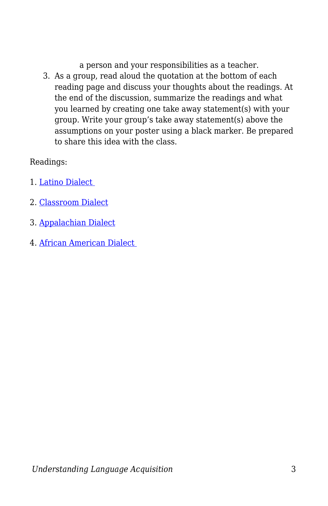a person and your responsibilities as a teacher.

3. As a group, read aloud the quotation at the bottom of each reading page and discuss your thoughts about the readings. At the end of the discussion, summarize the readings and what you learned by creating one take away statement(s) with your group. Write your group's take away statement(s) above the assumptions on your poster using a black marker. Be prepared to share this idea with the class.

## Readings:

- 1. [Latino Dialect](https://byu.box.com/s/bnlxoddb9bi07gp2kdy0cqi2du43muus)
- 2. [Classroom Dialect](https://byu.box.com/s/ul2bg0egmfg1wcl43nc4s2busxq78jj8)
- 3. [Appalachian Dialect](https://byu.box.com/s/zwvumgknv6bn833anvp2lxr5fcnqk9ny)
- 4. [African American Dialect](https://byu.box.com/s/qqwycw145trtjtsma9kx1z9t5ksxa40i)